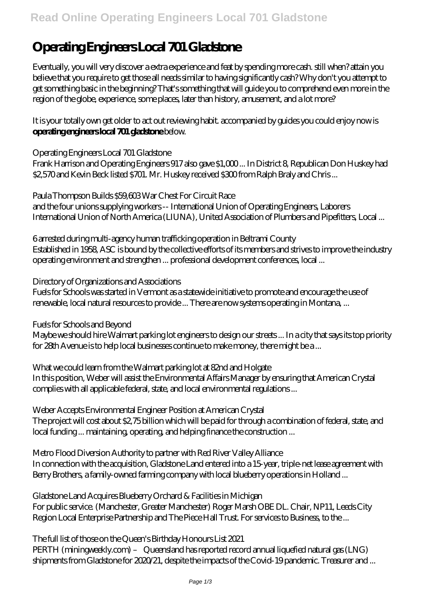# **Operating Engineers Local 701 Gladstone**

Eventually, you will very discover a extra experience and feat by spending more cash. still when? attain you believe that you require to get those all needs similar to having significantly cash? Why don't you attempt to get something basic in the beginning? That's something that will guide you to comprehend even more in the region of the globe, experience, some places, later than history, amusement, and a lot more?

It is your totally own get older to act out reviewing habit. accompanied by guides you could enjoy now is **operating engineers local 701 gladstone** below.

### *Operating Engineers Local 701 Gladstone*

Frank Harrison and Operating Engineers 917 also gave \$1,000 ... In District 8, Republican Don Huskey had \$2,570 and Kevin Beck listed \$701. Mr. Huskey received \$300 from Ralph Braly and Chris...

### *Paula Thompson Builds \$59,603 War Chest For Circuit Race*

and the four unions supplying workers -- International Union of Operating Engineers, Laborers International Union of North America (LIUNA), United Association of Plumbers and Pipefitters, Local ...

### *6 arrested during multi-agency human trafficking operation in Beltrami County*

Established in 1958, ASC is bound by the collective efforts of its members and strives to improve the industry operating environment and strengthen ... professional development conferences, local ...

### *Directory of Organizations and Associations*

Fuels for Schools was started in Vermont as a statewide initiative to promote and encourage the use of renewable, local natural resources to provide ... There are now systems operating in Montana, ...

# *Fuels for Schools and Beyond*

Maybe we should hire Walmart parking lot engineers to design our streets ... In a city that says its top priority for 28th Avenue is to help local businesses continue to make money, there might be a ...

*What we could learn from the Walmart parking lot at 82nd and Holgate*

In this position, Weber will assist the Environmental Affairs Manager by ensuring that American Crystal complies with all applicable federal, state, and local environmental regulations ...

# *Weber Accepts Environmental Engineer Position at American Crystal*

The project will cost about \$2,75 billion which will be paid for through a combination of federal, state, and local funding ... maintaining, operating, and helping finance the construction ...

# *Metro Flood Diversion Authority to partner with Red River Valley Alliance*

In connection with the acquisition, Gladstone Land entered into a 15-year, triple-net lease agreement with Berry Brothers, a family-owned farming company with local blueberry operations in Holland ...

# *Gladstone Land Acquires Blueberry Orchard & Facilities in Michigan*

For public service. (Manchester, Greater Manchester) Roger Marsh OBE DL. Chair, NP11, Leeds City Region Local Enterprise Partnership and The Piece Hall Trust. For services to Business, to the ...

# *The full list of those on the Queen's Birthday Honours List 2021*

PERTH (miningweekly.com) – Queensland has reported record annual liquefied natural gas (LNG) shipments from Gladstone for 2020/21, despite the impacts of the Covid-19 pandemic. Treasurer and ...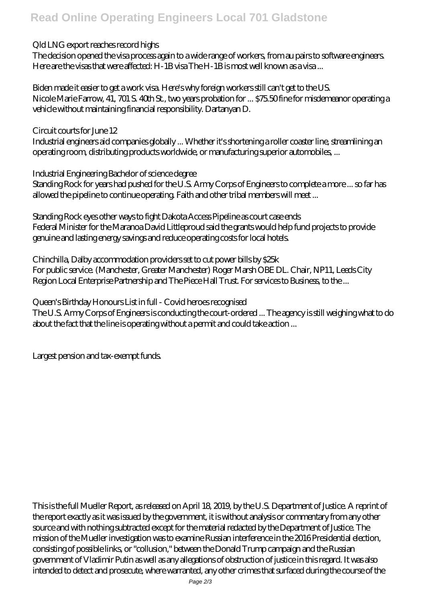# **Read Online Operating Engineers Local 701 Gladstone**

### *Qld LNG export reaches record highs*

The decision opened the visa process again to a wide range of workers, from au pairs to software engineers. Here are the visas that were affected: H-1B visa The H-1B is most well known as a visa ...

#### *Biden made it easier to get a work visa. Here's why foreign workers still can't get to the US.*

Nicole Marie Farrow, 41, 701 S. 40th St., two years probation for ... \$75.50 fine for misdemeanor operating a vehicle without maintaining financial responsibility. Dartanyan D.

#### *Circuit courts for June 12*

Industrial engineers aid companies globally ... Whether it's shortening a roller coaster line, streamlining an operating room, distributing products worldwide, or manufacturing superior automobiles, ...

### *Industrial Engineering Bachelor of science degree*

Standing Rock for years had pushed for the U.S. Army Corps of Engineers to complete a more ... so far has allowed the pipeline to continue operating. Faith and other tribal members will meet ...

### *Standing Rock eyes other ways to fight Dakota Access Pipeline as court case ends*

Federal Minister for the Maranoa David Littleproud said the grants would help fund projects to provide genuine and lasting energy savings and reduce operating costs for local hotels.

### *Chinchilla, Dalby accommodation providers set to cut power bills by \$25k*

For public service. (Manchester, Greater Manchester) Roger Marsh OBE DL. Chair, NP11, Leeds City Region Local Enterprise Partnership and The Piece Hall Trust. For services to Business, to the ...

# *Queen's Birthday Honours List in full - Covid heroes recognised*

The U.S. Army Corps of Engineers is conducting the court-ordered ... The agency is still weighing what to do about the fact that the line is operating without a permit and could take action ...

Largest pension and tax-exempt funds.

This is the full Mueller Report, as released on April 18, 2019, by the U.S. Department of Justice. A reprint of the report exactly as it was issued by the government, it is without analysis or commentary from any other source and with nothing subtracted except for the material redacted by the Department of Justice. The mission of the Mueller investigation was to examine Russian interference in the 2016 Presidential election, consisting of possible links, or "collusion," between the Donald Trump campaign and the Russian government of Vladimir Putin as well as any allegations of obstruction of justice in this regard. It was also intended to detect and prosecute, where warranted, any other crimes that surfaced during the course of the